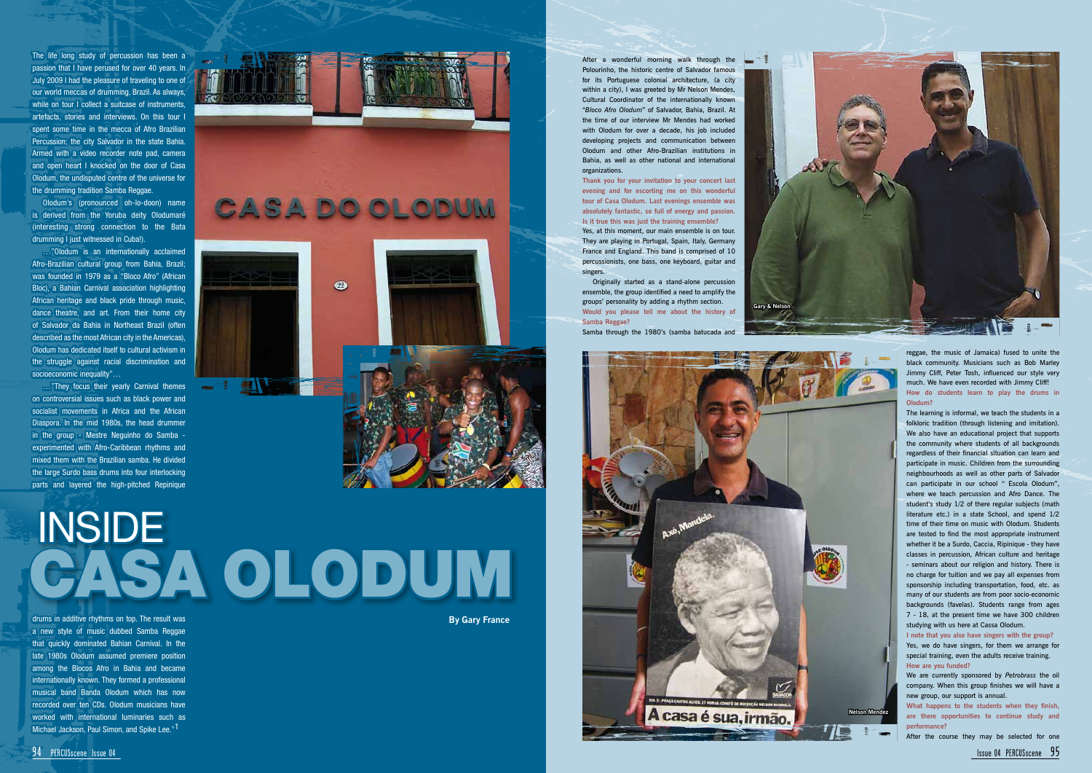After a wonderful morning walk through the Polourinho, the historic centre of Salvador famous for its Portuguese colonial architecture, (a city within a city), I was greeted by Mr Nelson Mendes, Cultural Coordinator of the internationally known "*Bloco Afro Olodum*" of Salvador, Bahia, Brazil. At the time of our interview Mr Mendes had worked with Olodum for over a decade, his job included developing projects and communication between Olodum and other Afro-Brazilian institutions in Bahia, as well as other national and international organizations.

**Thank you for your invitation to your concert last evening and for escorting me on this wonderful tour of Casa Olodum. Last evenings ensemble was absolutely fantastic, so full of energy and passion. Is it true this was just the training ensemble?**

Yes, at this moment, our main ensemble is on tour. They are playing in Portugal, Spain, Italy, Germany France and England. This band is comprised of 10 percussionists, one bass, one keyboard, guitar and singers.

Originally started as a stand-alone percussion ensemble, the group identified a need to amplify the groups' personality by adding a rhythm section. **Would you please tell me about the history of Samba Reggae?**

Gary & Ne

Samba through the 1980's (samba batucada and

reggae, the music of Jamaica) fused to unite the black community. Musicians such as Bob Marley Jimmy Cliff, Peter Tosh, influenced our style very much. We have even recorded with Jimmy Cliff! **How do students learn to play the drums in Olodum?**

…"Olodum is an internationally acclaimed Afro-Brazilian cultural group from Bahia, Brazil; was founded in 1979 as a "Bloco Afro" (African Bloc), a Bahian Carnival association highlighting African heritage and black pride through music, dance theatre, and art. From their home city of Salvador da Bahia in Northeast Brazil (often described as the most African city in the Americas), Olodum has dedicated itself to cultural activism in the struggle against racial discrimination and socioeconomic inequality"...

> The learning is informal, we teach the students in a folkloric tradition (through listening and imitation). We also have an educational project that supports the community where students of all backgrounds regardless of their financial situation can learn and participate in music. Children from the surrounding neighbourhoods as well as other parts of Salvador can participate in our school " Escola Olodum", where we teach percussion and Afro Dance. The student's study 1/2 of there regular subjects (math literature etc.) in a state School, and spend 1/2 time of their time on music with Olodum. Students are tested to find the most appropriate instrument whether it be a Surdo, Caccia, Ripinique - they have classes in percussion, African culture and heritage - seminars about our religion and history. There is no charge for tuition and we pay all expenses from sponsorship including transportation, food, etc. as many of our students are from poor socio-economic backgrounds (favelas). Students range from ages 7 - 18, at the present time we have 300 children studying with us here at Cassa Olodum.

drums in additive rhythms on top. The result was a new style of music dubbed Samba Reggae that quickly dominated Bahian Carnival. In the late 1980s Olodum assumed premiere position among the Blocos Afro in Bahia and became internationally known. They formed a professional musical band Banda Olodum which has now recorded over ten CDs. Olodum musicians have worked with international luminaries such as Michael Jackson, Paul Simon, and Spike Lee."<sup>1</sup>

**I note that you also have singers with the group?** Yes, we do have singers, for them we arrange for special training, even the adults receive training. **How are you funded?**

We are currently sponsored by *Petrobrass* the oil company. When this group finishes we will have a new group, our support is annual.

**What happens to the students when they finish, are there opportunities to continue study and performance?**

After the course they may be selected for one

The life long study of percussion has been a passion that I have perused for over 40 years. In July 2009 I had the pleasure of traveling to one of our world meccas of drumming, Brazil. As always, while on tour I collect a suitcase of instruments. artefacts, stories and interviews. On this tour I spent some time in the mecca of Afro Brazilian Percussion; the city Salvador in the state Bahia. Armed with a video recorder note pad, camera and open heart I knocked on the door of Casa Olodum, the undisputed centre of the universe for the drumming tradition Samba Reggae.

Olodum's (pronounced oh-lo-doon) name is derived from the Yoruba deity Olodumaré (interesting strong connection to the Bata drumming I just witnessed in Cuba!).

…"They focus their yearly Carnival themes on controversial issues such as black power and socialist movements in Africa and the African Diaspora. In the mid 1980s, the head drummer in the group - Mestre Neguinho do Samba experimented with Afro-Caribbean rhythms and mixed them with the Brazilian samba. He divided the large Surdo bass drums into four interlocking parts and layered the high-pitched Repinique



## INSIDE CASA OLODUM



**Nelson Mendez**